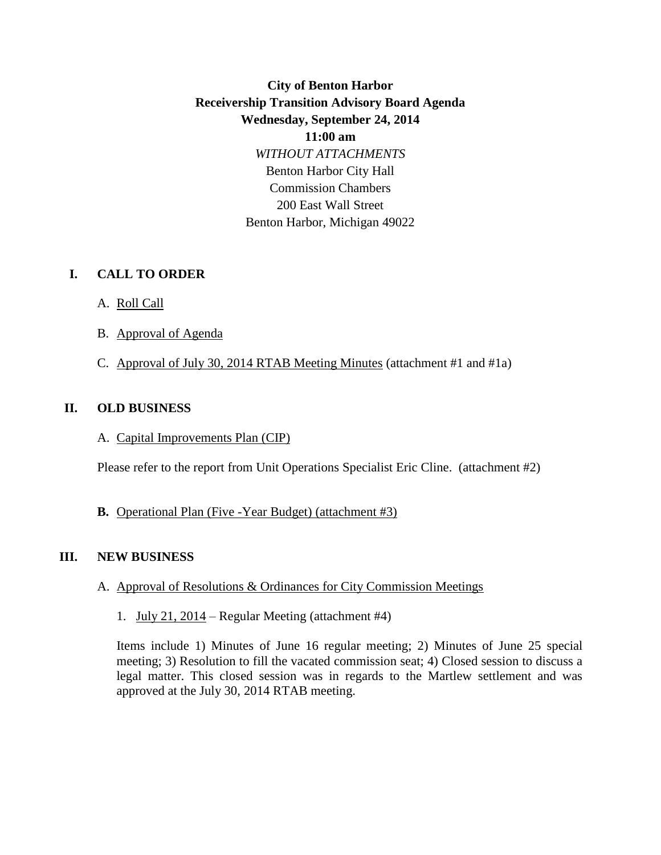# **City of Benton Harbor Receivership Transition Advisory Board Agenda Wednesday, September 24, 2014 11:00 am** *WITHOUT ATTACHMENTS* Benton Harbor City Hall Commission Chambers 200 East Wall Street Benton Harbor, Michigan 49022

#### **I. CALL TO ORDER**

- A. Roll Call
- B. Approval of Agenda
- C. Approval of July 30, 2014 RTAB Meeting Minutes (attachment #1 and #1a)

### **II. OLD BUSINESS**

A. Capital Improvements Plan (CIP)

Please refer to the report from Unit Operations Specialist Eric Cline.(attachment #2)

#### **B.** Operational Plan (Five -Year Budget) (attachment #3)

## **III. NEW BUSINESS**

- A. Approval of Resolutions & Ordinances for City Commission Meetings
	- 1. July 21, 2014 Regular Meeting (attachment #4)

Items include 1) Minutes of June 16 regular meeting; 2) Minutes of June 25 special meeting; 3) Resolution to fill the vacated commission seat; 4) Closed session to discuss a legal matter. This closed session was in regards to the Martlew settlement and was approved at the July 30, 2014 RTAB meeting.